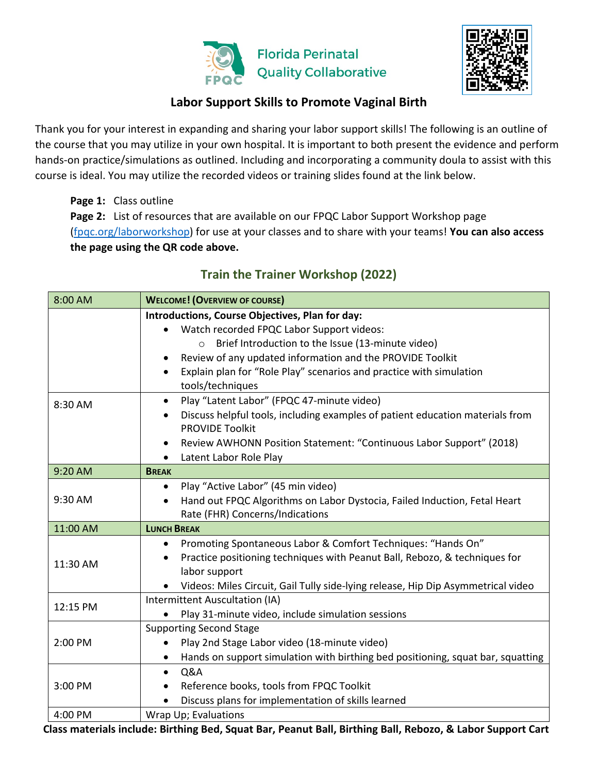



# **Labor Support Skills to Promote Vaginal Birth**

Thank you for your interest in expanding and sharing your labor support skills! The following is an outline of the course that you may utilize in your own hospital. It is important to both present the evidence and perform hands-on practice/simulations as outlined. Including and incorporating a community doula to assist with this course is ideal. You may utilize the recorded videos or training slides found at the link below.

## **Page 1:** Class outline

**Page 2:** List of resources that are available on our FPQC Labor Support Workshop page [\(fpqc.org/laborworkshop\)](https://health.usf.edu/publichealth/chiles/fpqc/laborworkshop) for use at your classes and to share with your teams! **You can also access the page using the QR code above.**

# **Train the Trainer Workshop (2022)**

| 8:00 AM  | <b>WELCOME! (OVERVIEW OF COURSE)</b>                                                         |
|----------|----------------------------------------------------------------------------------------------|
|          | Introductions, Course Objectives, Plan for day:                                              |
|          | Watch recorded FPQC Labor Support videos:<br>$\bullet$                                       |
|          | Brief Introduction to the Issue (13-minute video)<br>$\circ$                                 |
|          | Review of any updated information and the PROVIDE Toolkit<br>$\bullet$                       |
|          | Explain plan for "Role Play" scenarios and practice with simulation                          |
|          | tools/techniques                                                                             |
| 8:30 AM  | Play "Latent Labor" (FPQC 47-minute video)<br>$\bullet$                                      |
|          | Discuss helpful tools, including examples of patient education materials from                |
|          | <b>PROVIDE Toolkit</b>                                                                       |
|          | Review AWHONN Position Statement: "Continuous Labor Support" (2018)<br>$\bullet$             |
|          | Latent Labor Role Play<br>$\bullet$                                                          |
| 9:20 AM  | <b>BREAK</b>                                                                                 |
| 9:30 AM  | Play "Active Labor" (45 min video)<br>$\bullet$                                              |
|          | Hand out FPQC Algorithms on Labor Dystocia, Failed Induction, Fetal Heart<br>$\bullet$       |
|          | Rate (FHR) Concerns/Indications                                                              |
| 11:00 AM | <b>LUNCH BREAK</b>                                                                           |
| 11:30 AM | Promoting Spontaneous Labor & Comfort Techniques: "Hands On"<br>$\bullet$                    |
|          | Practice positioning techniques with Peanut Ball, Rebozo, & techniques for<br>$\bullet$      |
|          | labor support                                                                                |
|          | Videos: Miles Circuit, Gail Tully side-lying release, Hip Dip Asymmetrical video             |
| 12:15 PM | Intermittent Auscultation (IA)                                                               |
|          | Play 31-minute video, include simulation sessions                                            |
| 2:00 PM  | <b>Supporting Second Stage</b>                                                               |
|          | Play 2nd Stage Labor video (18-minute video)                                                 |
|          | Hands on support simulation with birthing bed positioning, squat bar, squatting<br>$\bullet$ |
| 3:00 PM  | Q&A<br>$\bullet$                                                                             |
|          | Reference books, tools from FPQC Toolkit                                                     |
|          | Discuss plans for implementation of skills learned                                           |
| 4:00 PM  | Wrap Up; Evaluations                                                                         |

 **Class materials include: Birthing Bed, Squat Bar, Peanut Ball, Birthing Ball, Rebozo, & Labor Support Cart**